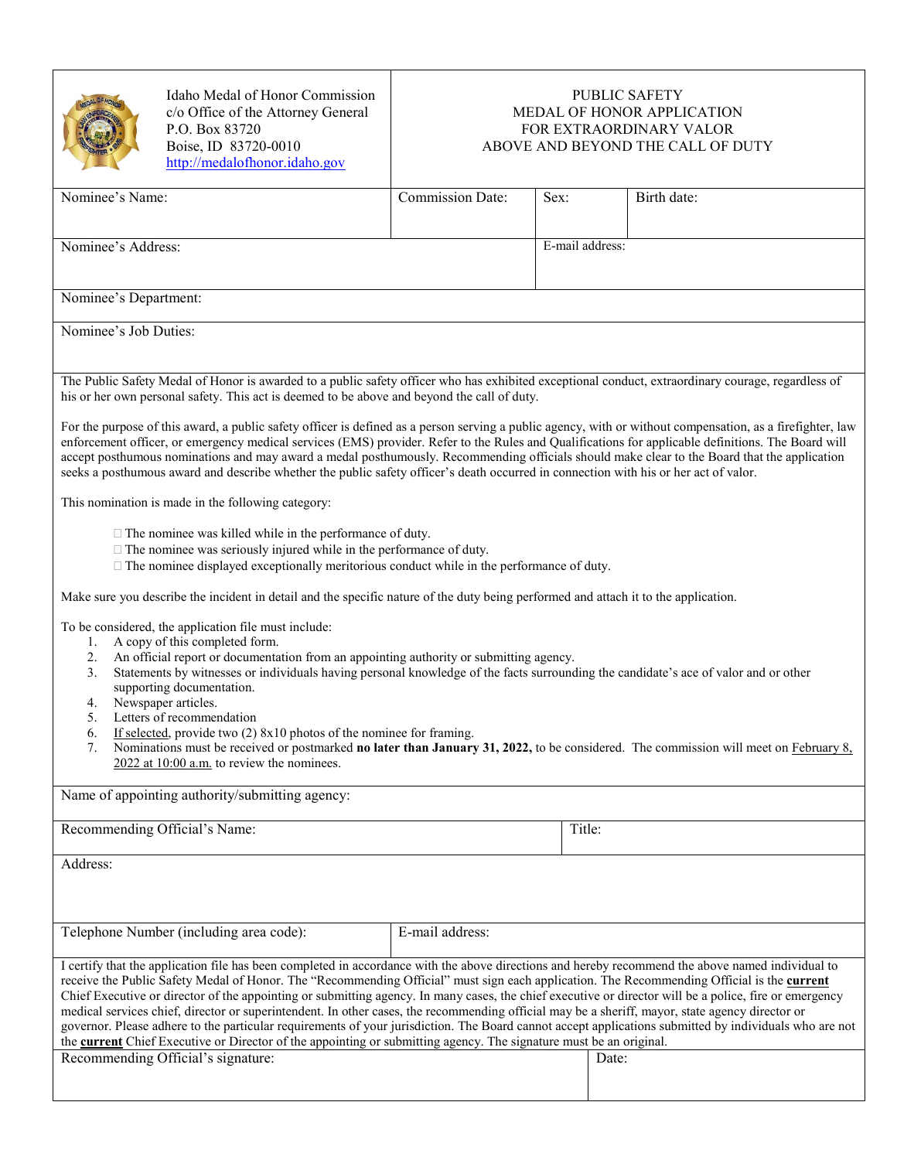| <b>MEDAL OF HONOR</b><br><b>AIGHTEN</b> |
|-----------------------------------------|
|                                         |

Idaho Medal of Honor Commission c/o Office of the Attorney General P.O. Box 83720 Boise, ID 83720-0010 [http://medalofhonor.idaho.gov](http://medalofhonor.idaho.gov/)

## PUBLIC SAFETY MEDAL OF HONOR APPLICATION FOR EXTRAORDINARY VALOR ABOVE AND BEYOND THE CALL OF DUTY

| Nominee's Name:                                                                                                                                                                                                                                                                                                                                                                                                                                                                                                                                                                                                                                                                                                                                                                                                                                                                              | <b>Commission Date:</b> | Sex:   | Birth date:     |  |  |
|----------------------------------------------------------------------------------------------------------------------------------------------------------------------------------------------------------------------------------------------------------------------------------------------------------------------------------------------------------------------------------------------------------------------------------------------------------------------------------------------------------------------------------------------------------------------------------------------------------------------------------------------------------------------------------------------------------------------------------------------------------------------------------------------------------------------------------------------------------------------------------------------|-------------------------|--------|-----------------|--|--|
| Nominee's Address:                                                                                                                                                                                                                                                                                                                                                                                                                                                                                                                                                                                                                                                                                                                                                                                                                                                                           |                         |        | E-mail address: |  |  |
|                                                                                                                                                                                                                                                                                                                                                                                                                                                                                                                                                                                                                                                                                                                                                                                                                                                                                              |                         |        |                 |  |  |
| Nominee's Department:                                                                                                                                                                                                                                                                                                                                                                                                                                                                                                                                                                                                                                                                                                                                                                                                                                                                        |                         |        |                 |  |  |
| Nominee's Job Duties:                                                                                                                                                                                                                                                                                                                                                                                                                                                                                                                                                                                                                                                                                                                                                                                                                                                                        |                         |        |                 |  |  |
| The Public Safety Medal of Honor is awarded to a public safety officer who has exhibited exceptional conduct, extraordinary courage, regardless of<br>his or her own personal safety. This act is deemed to be above and beyond the call of duty.                                                                                                                                                                                                                                                                                                                                                                                                                                                                                                                                                                                                                                            |                         |        |                 |  |  |
| For the purpose of this award, a public safety officer is defined as a person serving a public agency, with or without compensation, as a firefighter, law<br>enforcement officer, or emergency medical services (EMS) provider. Refer to the Rules and Qualifications for applicable definitions. The Board will<br>accept posthumous nominations and may award a medal posthumously. Recommending officials should make clear to the Board that the application<br>seeks a posthumous award and describe whether the public safety officer's death occurred in connection with his or her act of valor.                                                                                                                                                                                                                                                                                    |                         |        |                 |  |  |
| This nomination is made in the following category:                                                                                                                                                                                                                                                                                                                                                                                                                                                                                                                                                                                                                                                                                                                                                                                                                                           |                         |        |                 |  |  |
| $\Box$ The nominee was killed while in the performance of duty.<br>$\Box$ The nominee was seriously injured while in the performance of duty.<br>$\Box$ The nominee displayed exceptionally meritorious conduct while in the performance of duty.                                                                                                                                                                                                                                                                                                                                                                                                                                                                                                                                                                                                                                            |                         |        |                 |  |  |
| Make sure you describe the incident in detail and the specific nature of the duty being performed and attach it to the application.                                                                                                                                                                                                                                                                                                                                                                                                                                                                                                                                                                                                                                                                                                                                                          |                         |        |                 |  |  |
| To be considered, the application file must include:<br>A copy of this completed form.<br>1.<br>An official report or documentation from an appointing authority or submitting agency.<br>2.<br>Statements by witnesses or individuals having personal knowledge of the facts surrounding the candidate's ace of valor and or other<br>3.<br>supporting documentation.<br>Newspaper articles.<br>4.<br>Letters of recommendation<br>5.<br>If selected, provide two $(2)$ 8x10 photos of the nominee for framing.<br>6.<br>Nominations must be received or postmarked no later than January 31, 2022, to be considered. The commission will meet on February 8,<br>7.<br>$2022$ at 10:00 a.m. to review the nominees.                                                                                                                                                                         |                         |        |                 |  |  |
| Name of appointing authority/submitting agency:                                                                                                                                                                                                                                                                                                                                                                                                                                                                                                                                                                                                                                                                                                                                                                                                                                              |                         |        |                 |  |  |
| Recommending Official's Name:                                                                                                                                                                                                                                                                                                                                                                                                                                                                                                                                                                                                                                                                                                                                                                                                                                                                |                         | Title: |                 |  |  |
| Address:                                                                                                                                                                                                                                                                                                                                                                                                                                                                                                                                                                                                                                                                                                                                                                                                                                                                                     |                         |        |                 |  |  |
| Telephone Number (including area code):                                                                                                                                                                                                                                                                                                                                                                                                                                                                                                                                                                                                                                                                                                                                                                                                                                                      | E-mail address:         |        |                 |  |  |
| I certify that the application file has been completed in accordance with the above directions and hereby recommend the above named individual to<br>receive the Public Safety Medal of Honor. The "Recommending Official" must sign each application. The Recommending Official is the current<br>Chief Executive or director of the appointing or submitting agency. In many cases, the chief executive or director will be a police, fire or emergency<br>medical services chief, director or superintendent. In other cases, the recommending official may be a sheriff, mayor, state agency director or<br>governor. Please adhere to the particular requirements of your jurisdiction. The Board cannot accept applications submitted by individuals who are not<br>the current Chief Executive or Director of the appointing or submitting agency. The signature must be an original. |                         |        |                 |  |  |
| Recommending Official's signature:                                                                                                                                                                                                                                                                                                                                                                                                                                                                                                                                                                                                                                                                                                                                                                                                                                                           |                         | Date:  |                 |  |  |